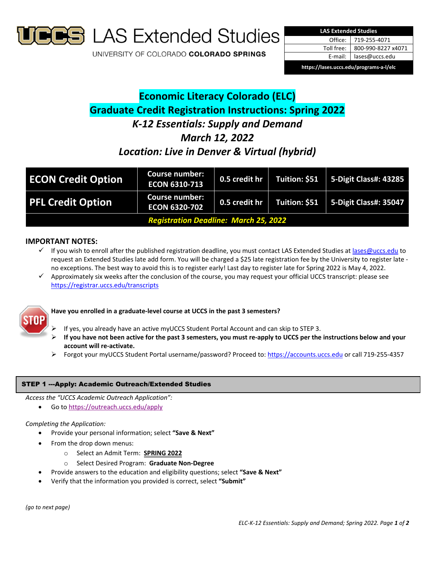

**S** LAS Extended Studies

UNIVERSITY OF COLORADO COLORADO SPRINGS



**https://lases.uccs.edu/programs‐a‐l/elc**

# **Economic Literacy Colorado (ELC) Graduate Credit Registration Instructions: Spring 2022** *K‐12 Essentials: Supply and Demand March 12, 2022 Location: Live in Denver & Virtual (hybrid)*

| <b>ECON Credit Option</b>                    | <b>Course number:</b><br><b>ECON 6310-713</b> | 0.5 credit hr | Tuition: \$51 | $5$ -Digit Class#: 43285     |
|----------------------------------------------|-----------------------------------------------|---------------|---------------|------------------------------|
| <b>PFL Credit Option</b>                     | <b>Course number:</b><br><b>ECON 6320-702</b> | 0.5 credit hr | Tuition: \$51 | <b>5-Digit Class#: 35047</b> |
| <b>Registration Deadline: March 25, 2022</b> |                                               |               |               |                              |

## **IMPORTANT NOTES:**

- If you wish to enroll after the published registration deadline, you must contact LAS Extended Studies at lases@uccs.edu to request an Extended Studies late add form. You will be charged a \$25 late registration fee by the University to register late ‐ no exceptions. The best way to avoid this is to register early! Last day to register late for Spring 2022 is May 4, 2022.
- $\checkmark$  Approximately six weeks after the conclusion of the course, you may request your official UCCS transcript: please see https://registrar.uccs.edu/transcripts



## **Have you enrolled in a graduate‐level course at UCCS in the past 3 semesters?**

- If yes, you already have an active myUCCS Student Portal Account and can skip to STEP 3.
- If you have not been active for the past 3 semesters, you must re-apply to UCCS per the instructions below and your **account will re‐activate.**
- Forgot your myUCCS Student Portal username/password? Proceed to: https://accounts.uccs.edu or call 719‐255‐4357

## STEP 1 ---Apply: Academic Outreach/Extended Studies

*Access the "UCCS Academic Outreach Application":*

Go to https://outreach.uccs.edu/apply

## *Completing the Application:*

- Provide your personal information; select **"Save & Next"**
- From the drop down menus:
	- o Select an Admit Term: **SPRING 2022**
	- o Select Desired Program: **Graduate Non‐Degree**
- Provide answers to the education and eligibility questions; select **"Save & Next"**
- Verify that the information you provided is correct, select **"Submit"**

*(go to next page)*